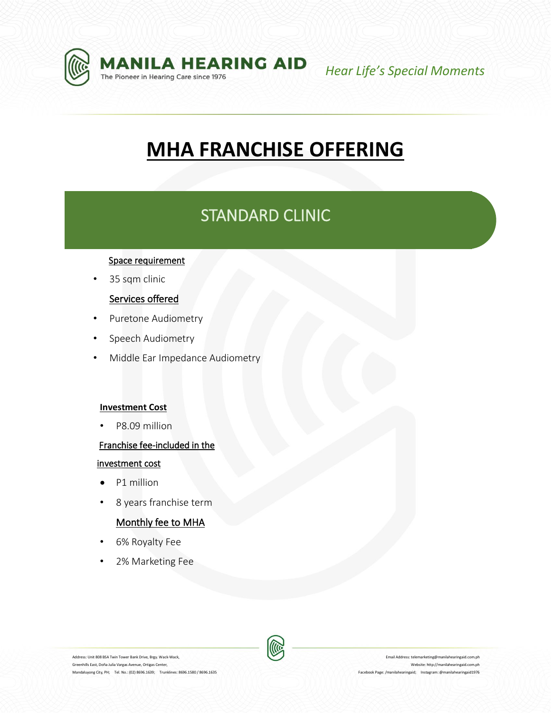

*Hear Life's Special Moments*

# **MHA FRANCHISE OFFERING**

## STANDARD CLINIC

### Space requirement

• 35 sqm clinic

### Services offered

- Puretone Audiometry
- Speech Audiometry
- Middle Ear Impedance Audiometry

### **Investment Cost**

• P8.09 million

### Franchise fee-included in the

### investment cost

- P1 million
- 8 years franchise term

### Monthly fee to MHA

- 6% Royalty Fee
- 2% Marketing Fee